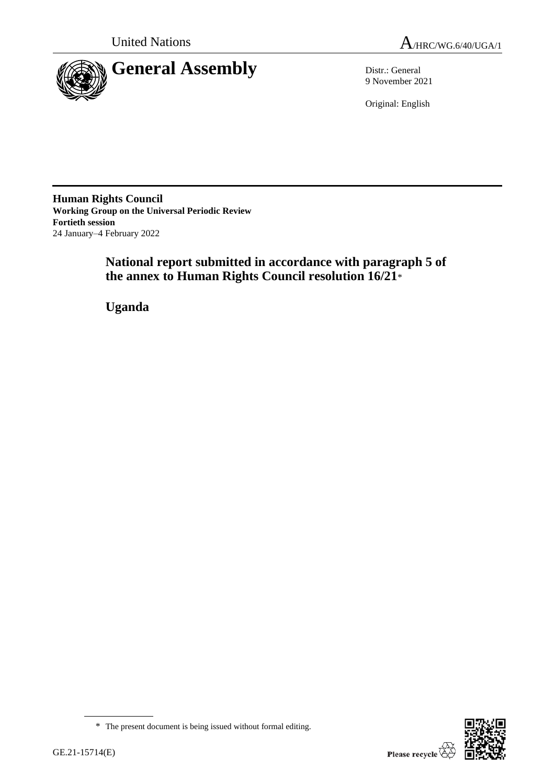



9 November 2021

Original: English

**Human Rights Council Working Group on the Universal Periodic Review Fortieth session** 24 January–4 February 2022

# **National report submitted in accordance with paragraph 5 of the annex to Human Rights Council resolution 16/21**\*

**Uganda**

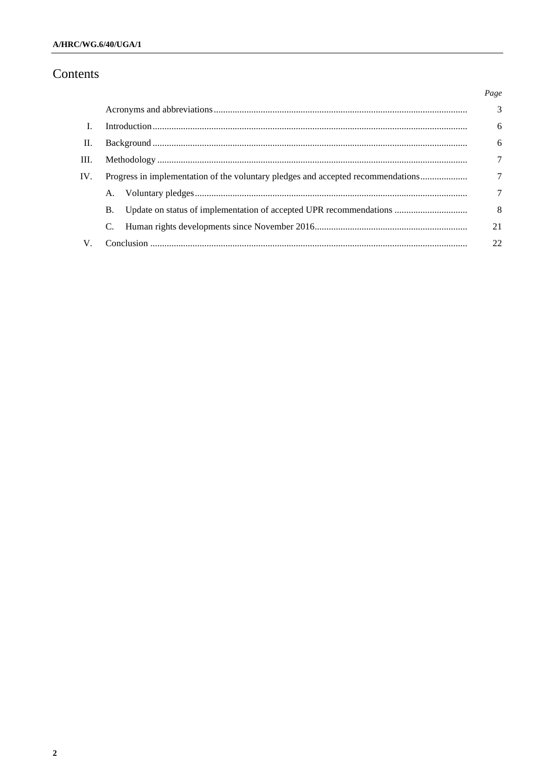# Contents

|                                                                                         |  | Page          |
|-----------------------------------------------------------------------------------------|--|---------------|
|                                                                                         |  | $\mathcal{E}$ |
|                                                                                         |  | 6             |
| П.                                                                                      |  |               |
| III.                                                                                    |  |               |
| IV.<br>Progress in implementation of the voluntary pledges and accepted recommendations |  |               |
| A.                                                                                      |  | 7             |
| B.                                                                                      |  | 8             |
|                                                                                         |  | 21            |
|                                                                                         |  | 22            |
|                                                                                         |  |               |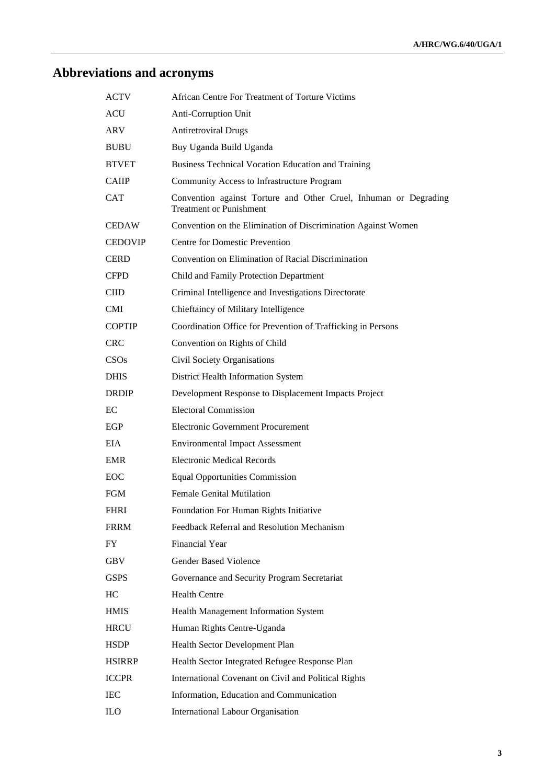# **Abbreviations and acronyms**

| ACTV           | African Centre For Treatment of Torture Victims                                                    |
|----------------|----------------------------------------------------------------------------------------------------|
| <b>ACU</b>     | Anti-Corruption Unit                                                                               |
| ARV            | <b>Antiretroviral Drugs</b>                                                                        |
| <b>BUBU</b>    | Buy Uganda Build Uganda                                                                            |
| <b>BTVET</b>   | Business Technical Vocation Education and Training                                                 |
| <b>CAIIP</b>   | Community Access to Infrastructure Program                                                         |
| CAT            | Convention against Torture and Other Cruel, Inhuman or Degrading<br><b>Treatment or Punishment</b> |
| <b>CEDAW</b>   | Convention on the Elimination of Discrimination Against Women                                      |
| <b>CEDOVIP</b> | <b>Centre for Domestic Prevention</b>                                                              |
| CERD           | Convention on Elimination of Racial Discrimination                                                 |
| <b>CFPD</b>    | Child and Family Protection Department                                                             |
| CIID.          | Criminal Intelligence and Investigations Directorate                                               |
| CMI.           | Chieftaincy of Military Intelligence                                                               |
| <b>COPTIP</b>  | Coordination Office for Prevention of Trafficking in Persons                                       |
| <b>CRC</b>     | Convention on Rights of Child                                                                      |
| CSOs           | Civil Society Organisations                                                                        |
| <b>DHIS</b>    | District Health Information System                                                                 |
| <b>DRDIP</b>   | Development Response to Displacement Impacts Project                                               |
| EC.            | <b>Electoral Commission</b>                                                                        |
| EGP            | Electronic Government Procurement                                                                  |
| EIA.           | <b>Environmental Impact Assessment</b>                                                             |
| <b>EMR</b>     | <b>Electronic Medical Records</b>                                                                  |
| EOC            | <b>Equal Opportunities Commission</b>                                                              |
| FGM            | <b>Female Genital Mutilation</b>                                                                   |
| <b>FHRI</b>    | Foundation For Human Rights Initiative                                                             |
| <b>FRRM</b>    | Feedback Referral and Resolution Mechanism                                                         |
| FY             | Financial Year                                                                                     |
| GBV            | <b>Gender Based Violence</b>                                                                       |
| <b>GSPS</b>    | Governance and Security Program Secretariat                                                        |
| HC             | <b>Health Centre</b>                                                                               |
| <b>HMIS</b>    | Health Management Information System                                                               |
| <b>HRCU</b>    | Human Rights Centre-Uganda                                                                         |
| <b>HSDP</b>    | Health Sector Development Plan                                                                     |
| <b>HSIRRP</b>  | Health Sector Integrated Refugee Response Plan                                                     |
| <b>ICCPR</b>   | International Covenant on Civil and Political Rights                                               |
| <b>IEC</b>     | Information, Education and Communication                                                           |
| <b>ILO</b>     | International Labour Organisation                                                                  |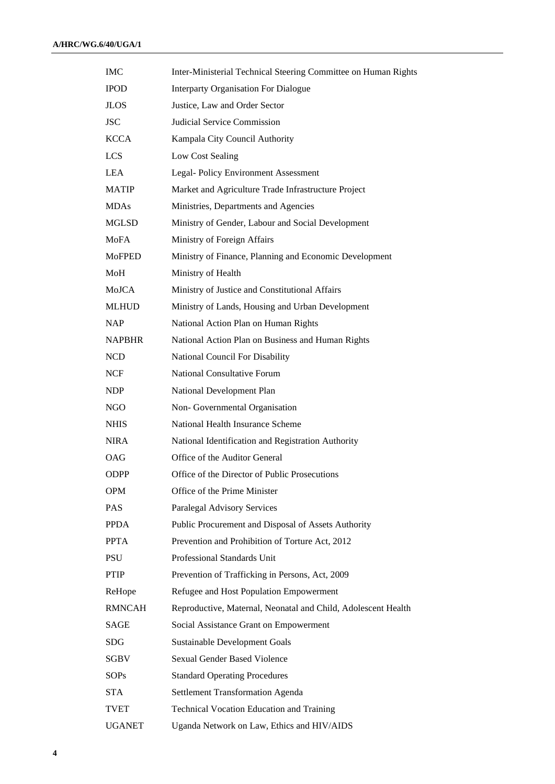| <b>IMC</b>    | Inter-Ministerial Technical Steering Committee on Human Rights |
|---------------|----------------------------------------------------------------|
| <b>IPOD</b>   | <b>Interparty Organisation For Dialogue</b>                    |
| <b>JLOS</b>   | Justice, Law and Order Sector                                  |
| <b>JSC</b>    | Judicial Service Commission                                    |
| <b>KCCA</b>   | Kampala City Council Authority                                 |
| <b>LCS</b>    | Low Cost Sealing                                               |
| <b>LEA</b>    | Legal-Policy Environment Assessment                            |
| <b>MATIP</b>  | Market and Agriculture Trade Infrastructure Project            |
| <b>MDAs</b>   | Ministries, Departments and Agencies                           |
| MGLSD         | Ministry of Gender, Labour and Social Development              |
| <b>MoFA</b>   | Ministry of Foreign Affairs                                    |
| <b>MoFPED</b> | Ministry of Finance, Planning and Economic Development         |
| MoH           | Ministry of Health                                             |
| MoJCA         | Ministry of Justice and Constitutional Affairs                 |
| <b>MLHUD</b>  | Ministry of Lands, Housing and Urban Development               |
| <b>NAP</b>    | National Action Plan on Human Rights                           |
| <b>NAPBHR</b> | National Action Plan on Business and Human Rights              |
| <b>NCD</b>    | National Council For Disability                                |
| NCF           | <b>National Consultative Forum</b>                             |
| <b>NDP</b>    | National Development Plan                                      |
| <b>NGO</b>    | Non- Governmental Organisation                                 |
| <b>NHIS</b>   | National Health Insurance Scheme                               |
| <b>NIRA</b>   | National Identification and Registration Authority             |
| <b>OAG</b>    | Office of the Auditor General                                  |
| <b>ODPP</b>   | Office of the Director of Public Prosecutions                  |
| <b>OPM</b>    | Office of the Prime Minister                                   |
| <b>PAS</b>    | Paralegal Advisory Services                                    |
| <b>PPDA</b>   | Public Procurement and Disposal of Assets Authority            |
| <b>PPTA</b>   | Prevention and Prohibition of Torture Act, 2012                |
| <b>PSU</b>    | Professional Standards Unit                                    |
| <b>PTIP</b>   | Prevention of Trafficking in Persons, Act, 2009                |
| ReHope        | Refugee and Host Population Empowerment                        |
| <b>RMNCAH</b> | Reproductive, Maternal, Neonatal and Child, Adolescent Health  |
| SAGE          | Social Assistance Grant on Empowerment                         |
| <b>SDG</b>    | <b>Sustainable Development Goals</b>                           |
| <b>SGBV</b>   | <b>Sexual Gender Based Violence</b>                            |
| <b>SOPs</b>   | <b>Standard Operating Procedures</b>                           |
| <b>STA</b>    | Settlement Transformation Agenda                               |
| TVET          | <b>Technical Vocation Education and Training</b>               |
| <b>UGANET</b> | Uganda Network on Law, Ethics and HIV/AIDS                     |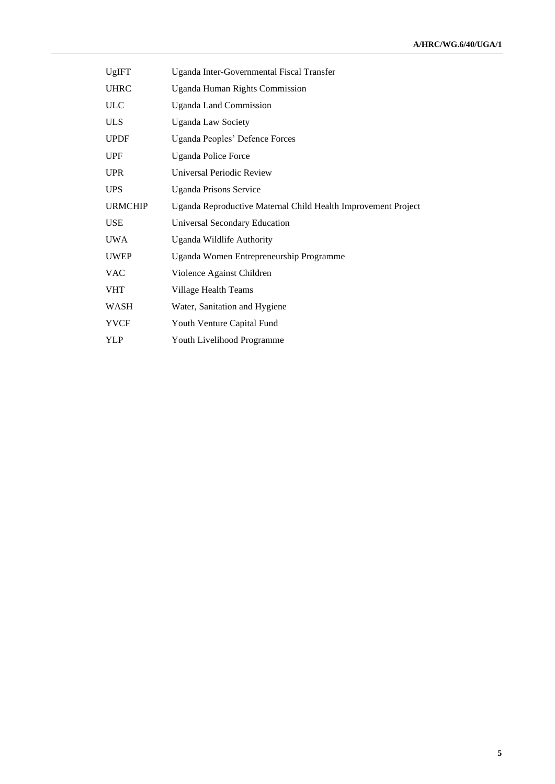| UgIFT          | Uganda Inter-Governmental Fiscal Transfer                     |
|----------------|---------------------------------------------------------------|
| <b>UHRC</b>    | <b>Uganda Human Rights Commission</b>                         |
| <b>ULC</b>     | <b>Uganda Land Commission</b>                                 |
| <b>ULS</b>     | <b>Uganda Law Society</b>                                     |
| <b>UPDF</b>    | Uganda Peoples' Defence Forces                                |
| UPF            | <b>Uganda Police Force</b>                                    |
| <b>UPR</b>     | Universal Periodic Review                                     |
| <b>UPS</b>     | <b>Uganda Prisons Service</b>                                 |
| <b>URMCHIP</b> | Uganda Reproductive Maternal Child Health Improvement Project |
| <b>USE</b>     | <b>Universal Secondary Education</b>                          |
| <b>UWA</b>     | Uganda Wildlife Authority                                     |
| <b>UWEP</b>    | Uganda Women Entrepreneurship Programme                       |
| <b>VAC</b>     | Violence Against Children                                     |
| <b>VHT</b>     | Village Health Teams                                          |
| WASH           | Water, Sanitation and Hygiene                                 |
| <b>YVCF</b>    | Youth Venture Capital Fund                                    |
| YLP            | Youth Livelihood Programme                                    |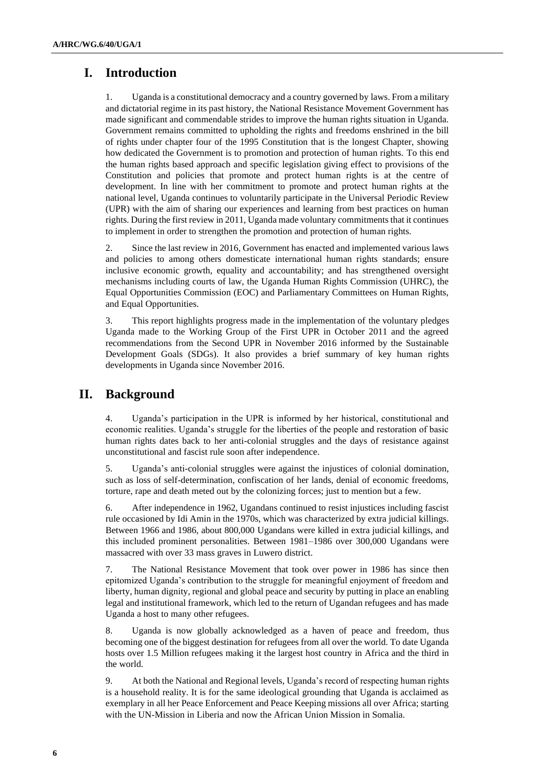# **I. Introduction**

1. Uganda is a constitutional democracy and a country governed by laws. From a military and dictatorial regime in its past history, the National Resistance Movement Government has made significant and commendable strides to improve the human rights situation in Uganda. Government remains committed to upholding the rights and freedoms enshrined in the bill of rights under chapter four of the 1995 Constitution that is the longest Chapter, showing how dedicated the Government is to promotion and protection of human rights. To this end the human rights based approach and specific legislation giving effect to provisions of the Constitution and policies that promote and protect human rights is at the centre of development. In line with her commitment to promote and protect human rights at the national level, Uganda continues to voluntarily participate in the Universal Periodic Review (UPR) with the aim of sharing our experiences and learning from best practices on human rights. During the first review in 2011, Uganda made voluntary commitments that it continues to implement in order to strengthen the promotion and protection of human rights.

2. Since the last review in 2016, Government has enacted and implemented various laws and policies to among others domesticate international human rights standards; ensure inclusive economic growth, equality and accountability; and has strengthened oversight mechanisms including courts of law, the Uganda Human Rights Commission (UHRC), the Equal Opportunities Commission (EOC) and Parliamentary Committees on Human Rights, and Equal Opportunities.

3. This report highlights progress made in the implementation of the voluntary pledges Uganda made to the Working Group of the First UPR in October 2011 and the agreed recommendations from the Second UPR in November 2016 informed by the Sustainable Development Goals (SDGs). It also provides a brief summary of key human rights developments in Uganda since November 2016.

### **II. Background**

4. Uganda's participation in the UPR is informed by her historical, constitutional and economic realities. Uganda's struggle for the liberties of the people and restoration of basic human rights dates back to her anti-colonial struggles and the days of resistance against unconstitutional and fascist rule soon after independence.

5. Uganda's anti-colonial struggles were against the injustices of colonial domination, such as loss of self-determination, confiscation of her lands, denial of economic freedoms, torture, rape and death meted out by the colonizing forces; just to mention but a few.

6. After independence in 1962, Ugandans continued to resist injustices including fascist rule occasioned by Idi Amin in the 1970s, which was characterized by extra judicial killings. Between 1966 and 1986, about 800,000 Ugandans were killed in extra judicial killings, and this included prominent personalities. Between 1981–1986 over 300,000 Ugandans were massacred with over 33 mass graves in Luwero district.

7. The National Resistance Movement that took over power in 1986 has since then epitomized Uganda's contribution to the struggle for meaningful enjoyment of freedom and liberty, human dignity, regional and global peace and security by putting in place an enabling legal and institutional framework, which led to the return of Ugandan refugees and has made Uganda a host to many other refugees.

8. Uganda is now globally acknowledged as a haven of peace and freedom, thus becoming one of the biggest destination for refugees from all over the world. To date Uganda hosts over 1.5 Million refugees making it the largest host country in Africa and the third in the world.

9. At both the National and Regional levels, Uganda's record of respecting human rights is a household reality. It is for the same ideological grounding that Uganda is acclaimed as exemplary in all her Peace Enforcement and Peace Keeping missions all over Africa; starting with the UN-Mission in Liberia and now the African Union Mission in Somalia.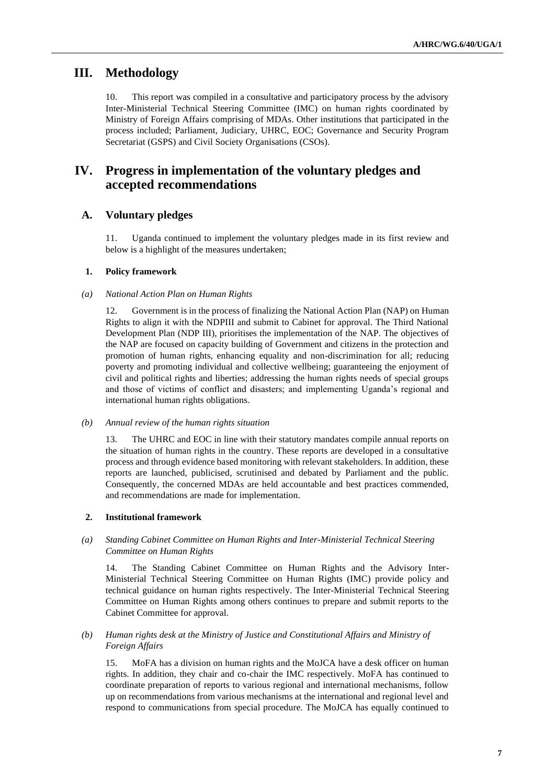# **III. Methodology**

10. This report was compiled in a consultative and participatory process by the advisory Inter-Ministerial Technical Steering Committee (IMC) on human rights coordinated by Ministry of Foreign Affairs comprising of MDAs. Other institutions that participated in the process included; Parliament, Judiciary, UHRC, EOC; Governance and Security Program Secretariat (GSPS) and Civil Society Organisations (CSOs).

# **IV. Progress in implementation of the voluntary pledges and accepted recommendations**

### **A. Voluntary pledges**

11. Uganda continued to implement the voluntary pledges made in its first review and below is a highlight of the measures undertaken;

#### **1. Policy framework**

#### *(a) National Action Plan on Human Rights*

Government is in the process of finalizing the National Action Plan (NAP) on Human Rights to align it with the NDPIII and submit to Cabinet for approval. The Third National Development Plan (NDP III), prioritises the implementation of the NAP. The objectives of the NAP are focused on capacity building of Government and citizens in the protection and promotion of human rights, enhancing equality and non-discrimination for all; reducing poverty and promoting individual and collective wellbeing; guaranteeing the enjoyment of civil and political rights and liberties; addressing the human rights needs of special groups and those of victims of conflict and disasters; and implementing Uganda's regional and international human rights obligations.

#### *(b) Annual review of the human rights situation*

13. The UHRC and EOC in line with their statutory mandates compile annual reports on the situation of human rights in the country. These reports are developed in a consultative process and through evidence based monitoring with relevant stakeholders. In addition, these reports are launched, publicised, scrutinised and debated by Parliament and the public. Consequently, the concerned MDAs are held accountable and best practices commended, and recommendations are made for implementation.

#### **2. Institutional framework**

#### *(a) Standing Cabinet Committee on Human Rights and Inter-Ministerial Technical Steering Committee on Human Rights*

14. The Standing Cabinet Committee on Human Rights and the Advisory Inter-Ministerial Technical Steering Committee on Human Rights (IMC) provide policy and technical guidance on human rights respectively. The Inter-Ministerial Technical Steering Committee on Human Rights among others continues to prepare and submit reports to the Cabinet Committee for approval.

#### *(b) Human rights desk at the Ministry of Justice and Constitutional Affairs and Ministry of Foreign Affairs*

15. MoFA has a division on human rights and the MoJCA have a desk officer on human rights. In addition, they chair and co-chair the IMC respectively. MoFA has continued to coordinate preparation of reports to various regional and international mechanisms, follow up on recommendations from various mechanisms at the international and regional level and respond to communications from special procedure. The MoJCA has equally continued to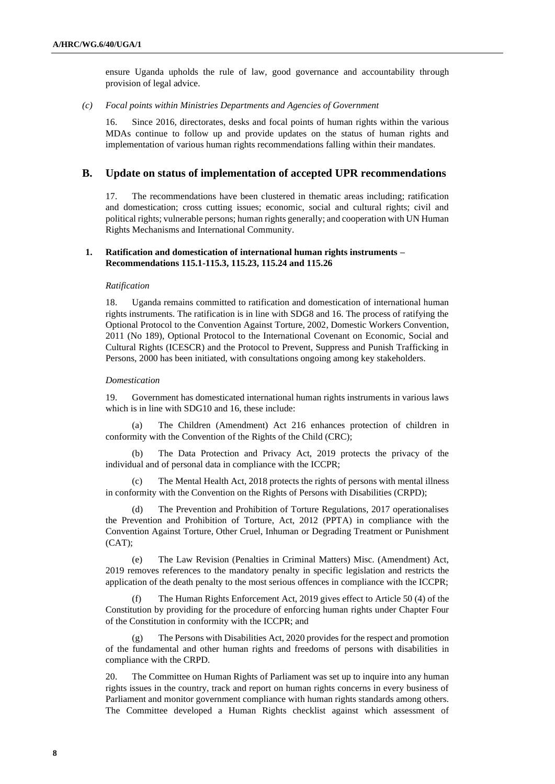ensure Uganda upholds the rule of law, good governance and accountability through provision of legal advice.

*(c) Focal points within Ministries Departments and Agencies of Government*

16. Since 2016, directorates, desks and focal points of human rights within the various MDAs continue to follow up and provide updates on the status of human rights and implementation of various human rights recommendations falling within their mandates.

#### **B. Update on status of implementation of accepted UPR recommendations**

17. The recommendations have been clustered in thematic areas including; ratification and domestication; cross cutting issues; economic, social and cultural rights; civil and political rights; vulnerable persons; human rights generally; and cooperation with UN Human Rights Mechanisms and International Community.

#### **1. Ratification and domestication of international human rights instruments – Recommendations 115.1-115.3, 115.23, 115.24 and 115.26**

#### *Ratification*

18. Uganda remains committed to ratification and domestication of international human rights instruments. The ratification is in line with SDG8 and 16. The process of ratifying the Optional Protocol to the Convention Against Torture, 2002, Domestic Workers Convention, 2011 (No 189), Optional Protocol to the International Covenant on Economic, Social and Cultural Rights (ICESCR) and the Protocol to Prevent, Suppress and Punish Trafficking in Persons, 2000 has been initiated, with consultations ongoing among key stakeholders.

#### *Domestication*

19. Government has domesticated international human rights instruments in various laws which is in line with SDG10 and 16, these include:

(a) The Children (Amendment) Act 216 enhances protection of children in conformity with the Convention of the Rights of the Child (CRC);

(b) The Data Protection and Privacy Act, 2019 protects the privacy of the individual and of personal data in compliance with the ICCPR;

(c) The Mental Health Act, 2018 protects the rights of persons with mental illness in conformity with the Convention on the Rights of Persons with Disabilities (CRPD);

(d) The Prevention and Prohibition of Torture Regulations, 2017 operationalises the Prevention and Prohibition of Torture, Act, 2012 (PPTA) in compliance with the Convention Against Torture, Other Cruel, Inhuman or Degrading Treatment or Punishment (CAT);

(e) The Law Revision (Penalties in Criminal Matters) Misc. (Amendment) Act, 2019 removes references to the mandatory penalty in specific legislation and restricts the application of the death penalty to the most serious offences in compliance with the ICCPR;

The Human Rights Enforcement Act, 2019 gives effect to Article 50 (4) of the Constitution by providing for the procedure of enforcing human rights under Chapter Four of the Constitution in conformity with the ICCPR; and

(g) The Persons with Disabilities Act, 2020 provides for the respect and promotion of the fundamental and other human rights and freedoms of persons with disabilities in compliance with the CRPD.

20. The Committee on Human Rights of Parliament was set up to inquire into any human rights issues in the country, track and report on human rights concerns in every business of Parliament and monitor government compliance with human rights standards among others. The Committee developed a Human Rights checklist against which assessment of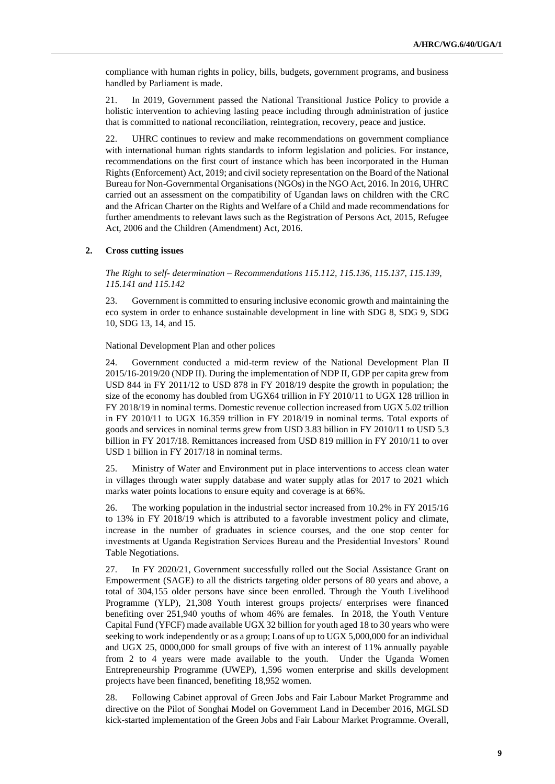compliance with human rights in policy, bills, budgets, government programs, and business handled by Parliament is made.

21. In 2019, Government passed the National Transitional Justice Policy to provide a holistic intervention to achieving lasting peace including through administration of justice that is committed to national reconciliation, reintegration, recovery, peace and justice.

22. UHRC continues to review and make recommendations on government compliance with international human rights standards to inform legislation and policies. For instance, recommendations on the first court of instance which has been incorporated in the Human Rights (Enforcement) Act, 2019; and civil society representation on the Board of the National Bureau for Non-Governmental Organisations (NGOs) in the NGO Act, 2016. In 2016, UHRC carried out an assessment on the compatibility of Ugandan laws on children with the CRC and the African Charter on the Rights and Welfare of a Child and made recommendations for further amendments to relevant laws such as the Registration of Persons Act, 2015, Refugee Act, 2006 and the Children (Amendment) Act, 2016.

#### **2. Cross cutting issues**

*The Right to self- determination – Recommendations 115.112, 115.136, 115.137, 115.139, 115.141 and 115.142*

23. Government is committed to ensuring inclusive economic growth and maintaining the eco system in order to enhance sustainable development in line with SDG 8, SDG 9, SDG 10, SDG 13, 14, and 15.

National Development Plan and other polices

24. Government conducted a mid-term review of the National Development Plan II 2015/16-2019/20 (NDP II). During the implementation of NDP II, GDP per capita grew from USD 844 in FY 2011/12 to USD 878 in FY 2018/19 despite the growth in population; the size of the economy has doubled from UGX64 trillion in FY 2010/11 to UGX 128 trillion in FY 2018/19 in nominal terms. Domestic revenue collection increased from UGX 5.02 trillion in FY 2010/11 to UGX 16.359 trillion in FY 2018/19 in nominal terms. Total exports of goods and services in nominal terms grew from USD 3.83 billion in FY 2010/11 to USD 5.3 billion in FY 2017/18. Remittances increased from USD 819 million in FY 2010/11 to over USD 1 billion in FY 2017/18 in nominal terms.

25. Ministry of Water and Environment put in place interventions to access clean water in villages through water supply database and water supply atlas for 2017 to 2021 which marks water points locations to ensure equity and coverage is at 66%.

26. The working population in the industrial sector increased from 10.2% in FY 2015/16 to 13% in FY 2018/19 which is attributed to a favorable investment policy and climate, increase in the number of graduates in science courses, and the one stop center for investments at Uganda Registration Services Bureau and the Presidential Investors' Round Table Negotiations.

27. In FY 2020/21, Government successfully rolled out the Social Assistance Grant on Empowerment (SAGE) to all the districts targeting older persons of 80 years and above, a total of 304,155 older persons have since been enrolled. Through the Youth Livelihood Programme (YLP), 21,308 Youth interest groups projects/ enterprises were financed benefiting over 251,940 youths of whom 46% are females. In 2018, the Youth Venture Capital Fund (YFCF) made available UGX 32 billion for youth aged 18 to 30 years who were seeking to work independently or as a group; Loans of up to UGX 5,000,000 for an individual and UGX 25, 0000,000 for small groups of five with an interest of 11% annually payable from 2 to 4 years were made available to the youth. Under the Uganda Women Entrepreneurship Programme (UWEP), 1,596 women enterprise and skills development projects have been financed, benefiting 18,952 women.

28. Following Cabinet approval of Green Jobs and Fair Labour Market Programme and directive on the Pilot of Songhai Model on Government Land in December 2016, MGLSD kick-started implementation of the Green Jobs and Fair Labour Market Programme. Overall,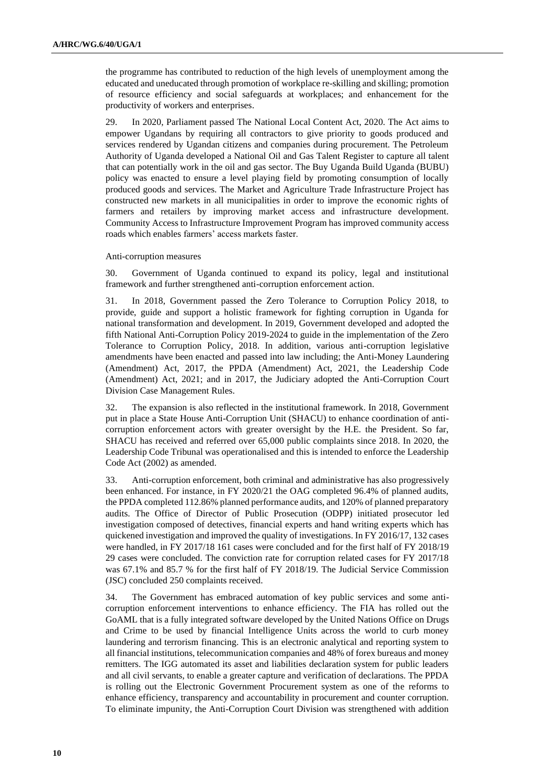the programme has contributed to reduction of the high levels of unemployment among the educated and uneducated through promotion of workplace re-skilling and skilling; promotion of resource efficiency and social safeguards at workplaces; and enhancement for the productivity of workers and enterprises.

29. In 2020, Parliament passed The National Local Content Act, 2020. The Act aims to empower Ugandans by requiring all contractors to give priority to goods produced and services rendered by Ugandan citizens and companies during procurement. The Petroleum Authority of Uganda developed a National Oil and Gas Talent Register to capture all talent that can potentially work in the oil and gas sector. The Buy Uganda Build Uganda (BUBU) policy was enacted to ensure a level playing field by promoting consumption of locally produced goods and services. The Market and Agriculture Trade Infrastructure Project has constructed new markets in all municipalities in order to improve the economic rights of farmers and retailers by improving market access and infrastructure development. Community Access to Infrastructure Improvement Program has improved community access roads which enables farmers' access markets faster.

#### Anti-corruption measures

30. Government of Uganda continued to expand its policy, legal and institutional framework and further strengthened anti-corruption enforcement action.

31. In 2018, Government passed the Zero Tolerance to Corruption Policy 2018, to provide, guide and support a holistic framework for fighting corruption in Uganda for national transformation and development. In 2019, Government developed and adopted the fifth National Anti-Corruption Policy 2019-2024 to guide in the implementation of the Zero Tolerance to Corruption Policy, 2018. In addition, various anti-corruption legislative amendments have been enacted and passed into law including; the Anti-Money Laundering (Amendment) Act, 2017, the PPDA (Amendment) Act, 2021, the Leadership Code (Amendment) Act, 2021; and in 2017, the Judiciary adopted the Anti-Corruption Court Division Case Management Rules.

32. The expansion is also reflected in the institutional framework. In 2018, Government put in place a State House Anti-Corruption Unit (SHACU) to enhance coordination of anticorruption enforcement actors with greater oversight by the H.E. the President. So far, SHACU has received and referred over 65,000 public complaints since 2018. In 2020, the Leadership Code Tribunal was operationalised and this is intended to enforce the Leadership Code Act (2002) as amended.

33. Anti-corruption enforcement, both criminal and administrative has also progressively been enhanced. For instance, in FY 2020/21 the OAG completed 96.4% of planned audits, the PPDA completed 112.86% planned performance audits, and 120% of planned preparatory audits. The Office of Director of Public Prosecution (ODPP) initiated prosecutor led investigation composed of detectives, financial experts and hand writing experts which has quickened investigation and improved the quality of investigations. In FY 2016/17, 132 cases were handled, in FY 2017/18 161 cases were concluded and for the first half of FY 2018/19 29 cases were concluded. The conviction rate for corruption related cases for FY 2017/18 was 67.1% and 85.7 % for the first half of FY 2018/19. The Judicial Service Commission (JSC) concluded 250 complaints received.

34. The Government has embraced automation of key public services and some anticorruption enforcement interventions to enhance efficiency. The FIA has rolled out the GoAML that is a fully integrated software developed by the United Nations Office on Drugs and Crime to be used by financial Intelligence Units across the world to curb money laundering and terrorism financing. This is an electronic analytical and reporting system to all financial institutions, telecommunication companies and 48% of forex bureaus and money remitters. The IGG automated its asset and liabilities declaration system for public leaders and all civil servants, to enable a greater capture and verification of declarations. The PPDA is rolling out the Electronic Government Procurement system as one of the reforms to enhance efficiency, transparency and accountability in procurement and counter corruption. To eliminate impunity, the Anti-Corruption Court Division was strengthened with addition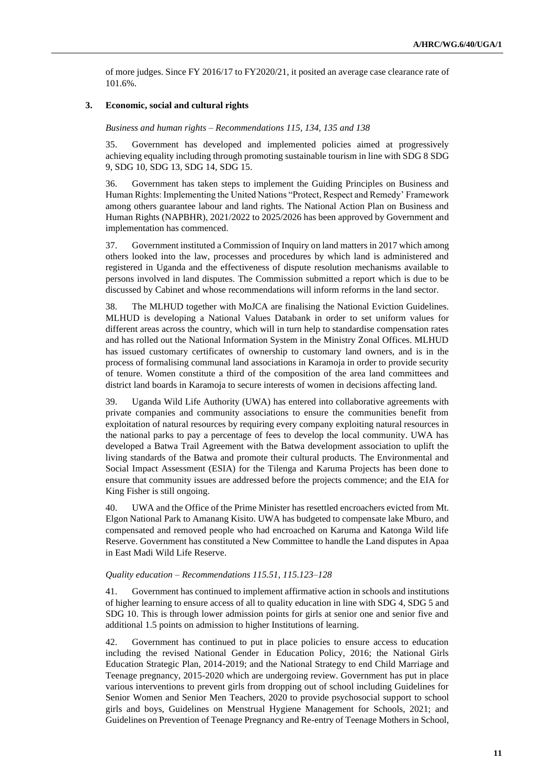of more judges. Since FY 2016/17 to FY2020/21, it posited an average case clearance rate of 101.6%.

#### **3. Economic, social and cultural rights**

#### *Business and human rights – Recommendations 115, 134, 135 and 138*

35. Government has developed and implemented policies aimed at progressively achieving equality including through promoting sustainable tourism in line with SDG 8 SDG 9, SDG 10, SDG 13, SDG 14, SDG 15.

36. Government has taken steps to implement the Guiding Principles on Business and Human Rights: Implementing the United Nations "Protect, Respect and Remedy' Framework among others guarantee labour and land rights. The National Action Plan on Business and Human Rights (NAPBHR), 2021/2022 to 2025/2026 has been approved by Government and implementation has commenced.

37. Government instituted a Commission of Inquiry on land matters in 2017 which among others looked into the law, processes and procedures by which land is administered and registered in Uganda and the effectiveness of dispute resolution mechanisms available to persons involved in land disputes. The Commission submitted a report which is due to be discussed by Cabinet and whose recommendations will inform reforms in the land sector.

38. The MLHUD together with MoJCA are finalising the National Eviction Guidelines. MLHUD is developing a National Values Databank in order to set uniform values for different areas across the country, which will in turn help to standardise compensation rates and has rolled out the National Information System in the Ministry Zonal Offices. MLHUD has issued customary certificates of ownership to customary land owners, and is in the process of formalising communal land associations in Karamoja in order to provide security of tenure. Women constitute a third of the composition of the area land committees and district land boards in Karamoja to secure interests of women in decisions affecting land.

39. Uganda Wild Life Authority (UWA) has entered into collaborative agreements with private companies and community associations to ensure the communities benefit from exploitation of natural resources by requiring every company exploiting natural resources in the national parks to pay a percentage of fees to develop the local community. UWA has developed a Batwa Trail Agreement with the Batwa development association to uplift the living standards of the Batwa and promote their cultural products. The Environmental and Social Impact Assessment (ESIA) for the Tilenga and Karuma Projects has been done to ensure that community issues are addressed before the projects commence; and the EIA for King Fisher is still ongoing.

40. UWA and the Office of the Prime Minister has resettled encroachers evicted from Mt. Elgon National Park to Amanang Kisito. UWA has budgeted to compensate lake Mburo, and compensated and removed people who had encroached on Karuma and Katonga Wild life Reserve. Government has constituted a New Committee to handle the Land disputes in Apaa in East Madi Wild Life Reserve.

#### *Quality education – Recommendations 115.51, 115.123–128*

41. Government has continued to implement affirmative action in schools and institutions of higher learning to ensure access of all to quality education in line with SDG 4, SDG 5 and SDG 10. This is through lower admission points for girls at senior one and senior five and additional 1.5 points on admission to higher Institutions of learning.

42. Government has continued to put in place policies to ensure access to education including the revised National Gender in Education Policy, 2016; the National Girls Education Strategic Plan, 2014-2019; and the National Strategy to end Child Marriage and Teenage pregnancy, 2015-2020 which are undergoing review. Government has put in place various interventions to prevent girls from dropping out of school including Guidelines for Senior Women and Senior Men Teachers, 2020 to provide psychosocial support to school girls and boys, Guidelines on Menstrual Hygiene Management for Schools, 2021; and Guidelines on Prevention of Teenage Pregnancy and Re-entry of Teenage Mothers in School,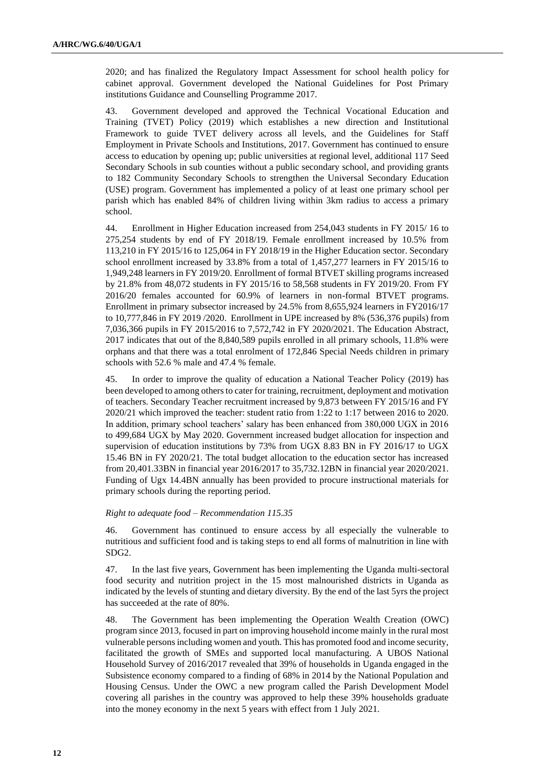2020; and has finalized the Regulatory Impact Assessment for school health policy for cabinet approval. Government developed the National Guidelines for Post Primary institutions Guidance and Counselling Programme 2017.

43. Government developed and approved the Technical Vocational Education and Training (TVET) Policy (2019) which establishes a new direction and Institutional Framework to guide TVET delivery across all levels, and the Guidelines for Staff Employment in Private Schools and Institutions, 2017. Government has continued to ensure access to education by opening up; public universities at regional level, additional 117 Seed Secondary Schools in sub counties without a public secondary school, and providing grants to 182 Community Secondary Schools to strengthen the Universal Secondary Education (USE) program. Government has implemented a policy of at least one primary school per parish which has enabled 84% of children living within 3km radius to access a primary school.

44. Enrollment in Higher Education increased from 254,043 students in FY 2015/ 16 to 275,254 students by end of FY 2018/19. Female enrollment increased by 10.5% from 113,210 in FY 2015/16 to 125,064 in FY 2018/19 in the Higher Education sector. Secondary school enrollment increased by 33.8% from a total of 1,457,277 learners in FY 2015/16 to 1,949,248 learners in FY 2019/20. Enrollment of formal BTVET skilling programs increased by 21.8% from 48,072 students in FY 2015/16 to 58,568 students in FY 2019/20. From FY 2016/20 females accounted for 60.9% of learners in non-formal BTVET programs. Enrollment in primary subsector increased by 24.5% from 8,655,924 learners in FY2016/17 to 10,777,846 in FY 2019 /2020. Enrollment in UPE increased by 8% (536,376 pupils) from 7,036,366 pupils in FY 2015/2016 to 7,572,742 in FY 2020/2021. The Education Abstract, 2017 indicates that out of the 8,840,589 pupils enrolled in all primary schools, 11.8% were orphans and that there was a total enrolment of 172,846 Special Needs children in primary schools with 52.6 % male and 47.4 % female.

45. In order to improve the quality of education a National Teacher Policy (2019) has been developed to among others to cater for training, recruitment, deployment and motivation of teachers. Secondary Teacher recruitment increased by 9,873 between FY 2015/16 and FY 2020/21 which improved the teacher: student ratio from 1:22 to 1:17 between 2016 to 2020. In addition, primary school teachers' salary has been enhanced from 380,000 UGX in 2016 to 499,684 UGX by May 2020. Government increased budget allocation for inspection and supervision of education institutions by 73% from UGX 8.83 BN in FY 2016/17 to UGX 15.46 BN in FY 2020/21. The total budget allocation to the education sector has increased from 20,401.33BN in financial year 2016/2017 to 35,732.12BN in financial year 2020/2021. Funding of Ugx 14.4BN annually has been provided to procure instructional materials for primary schools during the reporting period.

#### *Right to adequate food – Recommendation 115.35*

46. Government has continued to ensure access by all especially the vulnerable to nutritious and sufficient food and is taking steps to end all forms of malnutrition in line with SDG2.

47. In the last five years, Government has been implementing the Uganda multi-sectoral food security and nutrition project in the 15 most malnourished districts in Uganda as indicated by the levels of stunting and dietary diversity. By the end of the last 5yrs the project has succeeded at the rate of 80%.

48. The Government has been implementing the Operation Wealth Creation (OWC) program since 2013, focused in part on improving household income mainly in the rural most vulnerable persons including women and youth. This has promoted food and income security, facilitated the growth of SMEs and supported local manufacturing. A UBOS National Household Survey of 2016/2017 revealed that 39% of households in Uganda engaged in the Subsistence economy compared to a finding of 68% in 2014 by the National Population and Housing Census. Under the OWC a new program called the Parish Development Model covering all parishes in the country was approved to help these 39% households graduate into the money economy in the next 5 years with effect from 1 July 2021.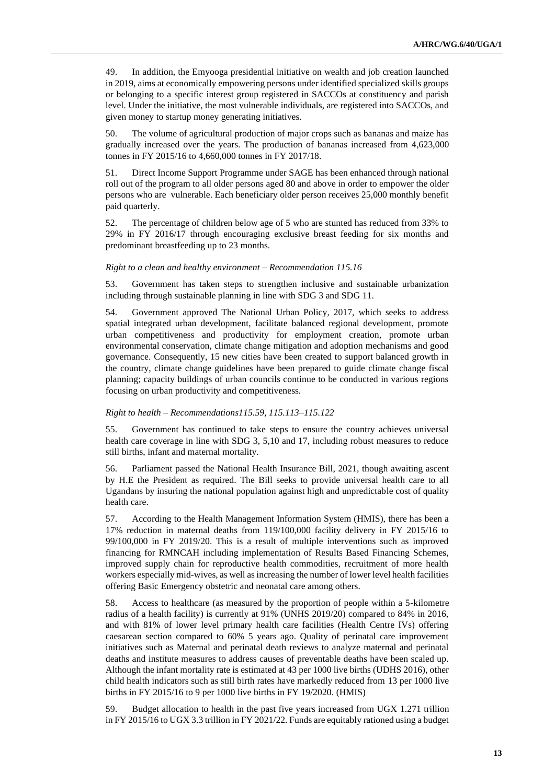49. In addition, the Emyooga presidential initiative on wealth and job creation launched in 2019, aims at economically empowering persons under identified specialized skills groups or belonging to a specific interest group registered in SACCOs at constituency and parish level. Under the initiative, the most vulnerable individuals, are registered into SACCOs, and given money to startup money generating initiatives.

50. The volume of agricultural production of major crops such as bananas and maize has gradually increased over the years. The production of bananas increased from 4,623,000 tonnes in FY 2015/16 to 4,660,000 tonnes in FY 2017/18.

51. Direct Income Support Programme under SAGE has been enhanced through national roll out of the program to all older persons aged 80 and above in order to empower the older persons who are vulnerable. Each beneficiary older person receives 25,000 monthly benefit paid quarterly.

52. The percentage of children below age of 5 who are stunted has reduced from 33% to 29% in FY 2016/17 through encouraging exclusive breast feeding for six months and predominant breastfeeding up to 23 months.

#### *Right to a clean and healthy environment – Recommendation 115.16*

53. Government has taken steps to strengthen inclusive and sustainable urbanization including through sustainable planning in line with SDG 3 and SDG 11.

54. Government approved The National Urban Policy, 2017, which seeks to address spatial integrated urban development, facilitate balanced regional development, promote urban competitiveness and productivity for employment creation, promote urban environmental conservation, climate change mitigation and adoption mechanisms and good governance. Consequently, 15 new cities have been created to support balanced growth in the country, climate change guidelines have been prepared to guide climate change fiscal planning; capacity buildings of urban councils continue to be conducted in various regions focusing on urban productivity and competitiveness.

#### *Right to health – Recommendations115.59, 115.113–115.122*

55. Government has continued to take steps to ensure the country achieves universal health care coverage in line with SDG 3, 5,10 and 17, including robust measures to reduce still births, infant and maternal mortality.

56. Parliament passed the National Health Insurance Bill, 2021, though awaiting ascent by H.E the President as required. The Bill seeks to provide universal health care to all Ugandans by insuring the national population against high and unpredictable cost of quality health care.

57. According to the Health Management Information System (HMIS), there has been a 17% reduction in maternal deaths from 119/100,000 facility delivery in FY 2015/16 to 99/100,000 in FY 2019/20. This is a result of multiple interventions such as improved financing for RMNCAH including implementation of Results Based Financing Schemes, improved supply chain for reproductive health commodities, recruitment of more health workers especially mid-wives, as well as increasing the number of lower level health facilities offering Basic Emergency obstetric and neonatal care among others.

58. Access to healthcare (as measured by the proportion of people within a 5-kilometre radius of a health facility) is currently at 91% (UNHS 2019/20) compared to 84% in 2016, and with 81% of lower level primary health care facilities (Health Centre IVs) offering caesarean section compared to 60% 5 years ago. Quality of perinatal care improvement initiatives such as Maternal and perinatal death reviews to analyze maternal and perinatal deaths and institute measures to address causes of preventable deaths have been scaled up. Although the infant mortality rate is estimated at 43 per 1000 live births (UDHS 2016), other child health indicators such as still birth rates have markedly reduced from 13 per 1000 live births in FY 2015/16 to 9 per 1000 live births in FY 19/2020. (HMIS)

59. Budget allocation to health in the past five years increased from UGX 1.271 trillion in FY 2015/16 to UGX 3.3 trillion in FY 2021/22. Funds are equitably rationed using a budget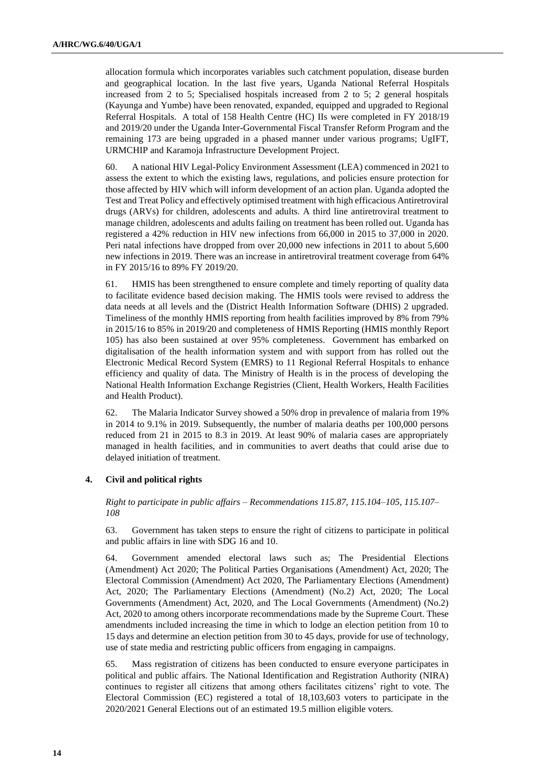allocation formula which incorporates variables such catchment population, disease burden and geographical location. In the last five years, Uganda National Referral Hospitals increased from 2 to 5; Specialised hospitals increased from 2 to 5; 2 general hospitals (Kayunga and Yumbe) have been renovated, expanded, equipped and upgraded to Regional Referral Hospitals. A total of 158 Health Centre (HC) IIs were completed in FY 2018/19 and 2019/20 under the Uganda Inter-Governmental Fiscal Transfer Reform Program and the remaining 173 are being upgraded in a phased manner under various programs; UgIFT, URMCHIP and Karamoja Infrastructure Development Project.

60. A national HIV Legal-Policy Environment Assessment (LEA) commenced in 2021 to assess the extent to which the existing laws, regulations, and policies ensure protection for those affected by HIV which will inform development of an action plan. Uganda adopted the Test and Treat Policy and effectively optimised treatment with high efficacious Antiretroviral drugs (ARVs) for children, adolescents and adults. A third line antiretroviral treatment to manage children, adolescents and adults failing on treatment has been rolled out. Uganda has registered a 42% reduction in HIV new infections from 66,000 in 2015 to 37,000 in 2020. Peri natal infections have dropped from over 20,000 new infections in 2011 to about 5,600 new infections in 2019. There was an increase in antiretroviral treatment coverage from 64% in FY 2015/16 to 89% FY 2019/20.

61. HMIS has been strengthened to ensure complete and timely reporting of quality data to facilitate evidence based decision making. The HMIS tools were revised to address the data needs at all levels and the (District Health Information Software (DHIS) 2 upgraded. Timeliness of the monthly HMIS reporting from health facilities improved by 8% from 79% in 2015/16 to 85% in 2019/20 and completeness of HMIS Reporting (HMIS monthly Report 105) has also been sustained at over 95% completeness. Government has embarked on digitalisation of the health information system and with support from has rolled out the Electronic Medical Record System (EMRS) to 11 Regional Referral Hospitals to enhance efficiency and quality of data. The Ministry of Health is in the process of developing the National Health Information Exchange Registries (Client, Health Workers, Health Facilities and Health Product).

62. The Malaria Indicator Survey showed a 50% drop in prevalence of malaria from 19% in 2014 to 9.1% in 2019. Subsequently, the number of malaria deaths per 100,000 persons reduced from 21 in 2015 to 8.3 in 2019. At least 90% of malaria cases are appropriately managed in health facilities, and in communities to avert deaths that could arise due to delayed initiation of treatment.

#### **4. Civil and political rights**

*Right to participate in public affairs – Recommendations 115.87, 115.104–105, 115.107– 108*

63. Government has taken steps to ensure the right of citizens to participate in political and public affairs in line with SDG 16 and 10.

64. Government amended electoral laws such as; The Presidential Elections (Amendment) Act 2020; The Political Parties Organisations (Amendment) Act, 2020; The Electoral Commission (Amendment) Act 2020, The Parliamentary Elections (Amendment) Act, 2020; The Parliamentary Elections (Amendment) (No.2) Act, 2020; The Local Governments (Amendment) Act, 2020, and The Local Governments (Amendment) (No.2) Act, 2020 to among others incorporate recommendations made by the Supreme Court. These amendments included increasing the time in which to lodge an election petition from 10 to 15 days and determine an election petition from 30 to 45 days, provide for use of technology, use of state media and restricting public officers from engaging in campaigns.

65. Mass registration of citizens has been conducted to ensure everyone participates in political and public affairs. The National Identification and Registration Authority (NIRA) continues to register all citizens that among others facilitates citizens' right to vote. The Electoral Commission (EC) registered a total of 18,103,603 voters to participate in the 2020/2021 General Elections out of an estimated 19.5 million eligible voters.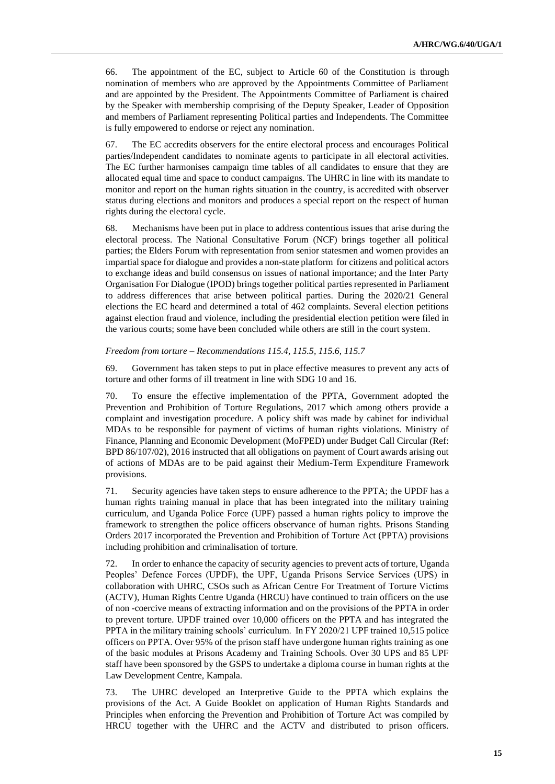66. The appointment of the EC, subject to Article 60 of the Constitution is through nomination of members who are approved by the Appointments Committee of Parliament and are appointed by the President. The Appointments Committee of Parliament is chaired by the Speaker with membership comprising of the Deputy Speaker, Leader of Opposition and members of Parliament representing Political parties and Independents. The Committee is fully empowered to endorse or reject any nomination.

67. The EC accredits observers for the entire electoral process and encourages Political parties/Independent candidates to nominate agents to participate in all electoral activities. The EC further harmonises campaign time tables of all candidates to ensure that they are allocated equal time and space to conduct campaigns. The UHRC in line with its mandate to monitor and report on the human rights situation in the country, is accredited with observer status during elections and monitors and produces a special report on the respect of human rights during the electoral cycle.

68. Mechanisms have been put in place to address contentious issues that arise during the electoral process. The National Consultative Forum (NCF) brings together all political parties; the Elders Forum with representation from senior statesmen and women provides an impartial space for dialogue and provides a non-state platform for citizens and political actors to exchange ideas and build consensus on issues of national importance; and the Inter Party Organisation For Dialogue (IPOD) brings together political parties represented in Parliament to address differences that arise between political parties. During the 2020/21 General elections the EC heard and determined a total of 462 complaints. Several election petitions against election fraud and violence, including the presidential election petition were filed in the various courts; some have been concluded while others are still in the court system.

#### *Freedom from torture – Recommendations 115.4, 115.5, 115.6, 115.7*

69. Government has taken steps to put in place effective measures to prevent any acts of torture and other forms of ill treatment in line with SDG 10 and 16.

70. To ensure the effective implementation of the PPTA, Government adopted the Prevention and Prohibition of Torture Regulations, 2017 which among others provide a complaint and investigation procedure. A policy shift was made by cabinet for individual MDAs to be responsible for payment of victims of human rights violations. Ministry of Finance, Planning and Economic Development (MoFPED) under Budget Call Circular (Ref: BPD 86/107/02), 2016 instructed that all obligations on payment of Court awards arising out of actions of MDAs are to be paid against their Medium-Term Expenditure Framework provisions.

71. Security agencies have taken steps to ensure adherence to the PPTA; the UPDF has a human rights training manual in place that has been integrated into the military training curriculum, and Uganda Police Force (UPF) passed a human rights policy to improve the framework to strengthen the police officers observance of human rights. Prisons Standing Orders 2017 incorporated the Prevention and Prohibition of Torture Act (PPTA) provisions including prohibition and criminalisation of torture.

72. In order to enhance the capacity of security agencies to prevent acts of torture, Uganda Peoples' Defence Forces (UPDF), the UPF, Uganda Prisons Service Services (UPS) in collaboration with UHRC, CSOs such as African Centre For Treatment of Torture Victims (ACTV), Human Rights Centre Uganda (HRCU) have continued to train officers on the use of non -coercive means of extracting information and on the provisions of the PPTA in order to prevent torture. UPDF trained over 10,000 officers on the PPTA and has integrated the PPTA in the military training schools' curriculum. In FY 2020/21 UPF trained 10,515 police officers on PPTA. Over 95% of the prison staff have undergone human rights training as one of the basic modules at Prisons Academy and Training Schools. Over 30 UPS and 85 UPF staff have been sponsored by the GSPS to undertake a diploma course in human rights at the Law Development Centre, Kampala.

73. The UHRC developed an Interpretive Guide to the PPTA which explains the provisions of the Act. A Guide Booklet on application of Human Rights Standards and Principles when enforcing the Prevention and Prohibition of Torture Act was compiled by HRCU together with the UHRC and the ACTV and distributed to prison officers.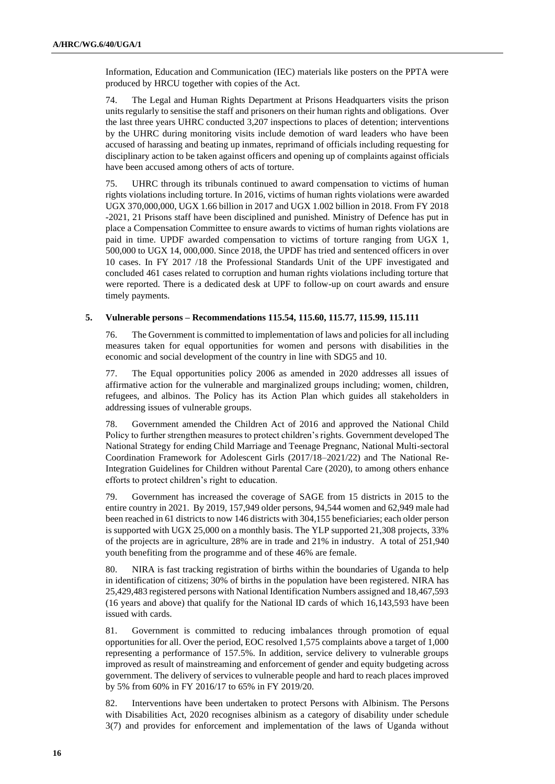Information, Education and Communication (IEC) materials like posters on the PPTA were produced by HRCU together with copies of the Act.

74. The Legal and Human Rights Department at Prisons Headquarters visits the prison units regularly to sensitise the staff and prisoners on their human rights and obligations. Over the last three years UHRC conducted 3,207 inspections to places of detention; interventions by the UHRC during monitoring visits include demotion of ward leaders who have been accused of harassing and beating up inmates, reprimand of officials including requesting for disciplinary action to be taken against officers and opening up of complaints against officials have been accused among others of acts of torture.

75. UHRC through its tribunals continued to award compensation to victims of human rights violations including torture. In 2016, victims of human rights violations were awarded UGX 370,000,000, UGX 1.66 billion in 2017 and UGX 1.002 billion in 2018. From FY 2018 -2021, 21 Prisons staff have been disciplined and punished. Ministry of Defence has put in place a Compensation Committee to ensure awards to victims of human rights violations are paid in time. UPDF awarded compensation to victims of torture ranging from UGX 1, 500,000 to UGX 14, 000,000. Since 2018, the UPDF has tried and sentenced officers in over 10 cases. In FY 2017 /18 the Professional Standards Unit of the UPF investigated and concluded 461 cases related to corruption and human rights violations including torture that were reported. There is a dedicated desk at UPF to follow-up on court awards and ensure timely payments.

#### **5. Vulnerable persons – Recommendations 115.54, 115.60, 115.77, 115.99, 115.111**

76. The Government is committed to implementation of laws and policies for all including measures taken for equal opportunities for women and persons with disabilities in the economic and social development of the country in line with SDG5 and 10.

77. The Equal opportunities policy 2006 as amended in 2020 addresses all issues of affirmative action for the vulnerable and marginalized groups including; women, children, refugees, and albinos. The Policy has its Action Plan which guides all stakeholders in addressing issues of vulnerable groups.

78. Government amended the Children Act of 2016 and approved the National Child Policy to further strengthen measures to protect children's rights. Government developed The National Strategy for ending Child Marriage and Teenage Pregnanc, National Multi-sectoral Coordination Framework for Adolescent Girls (2017/18–2021/22) and The National Re-Integration Guidelines for Children without Parental Care (2020), to among others enhance efforts to protect children's right to education.

79. Government has increased the coverage of SAGE from 15 districts in 2015 to the entire country in 2021. By 2019, 157,949 older persons, 94,544 women and 62,949 male had been reached in 61 districts to now 146 districts with 304,155 beneficiaries; each older person is supported with UGX 25,000 on a monthly basis. The YLP supported 21,308 projects, 33% of the projects are in agriculture, 28% are in trade and 21% in industry. A total of 251,940 youth benefiting from the programme and of these 46% are female.

80. NIRA is fast tracking registration of births within the boundaries of Uganda to help in identification of citizens; 30% of births in the population have been registered. NIRA has 25,429,483 registered persons with National Identification Numbers assigned and 18,467,593 (16 years and above) that qualify for the National ID cards of which 16,143,593 have been issued with cards.

81. Government is committed to reducing imbalances through promotion of equal opportunities for all. Over the period, EOC resolved 1,575 complaints above a target of 1,000 representing a performance of 157.5%. In addition, service delivery to vulnerable groups improved as result of mainstreaming and enforcement of gender and equity budgeting across government. The delivery of services to vulnerable people and hard to reach places improved by 5% from 60% in FY 2016/17 to 65% in FY 2019/20.

82. Interventions have been undertaken to protect Persons with Albinism. The Persons with Disabilities Act, 2020 recognises albinism as a category of disability under schedule 3(7) and provides for enforcement and implementation of the laws of Uganda without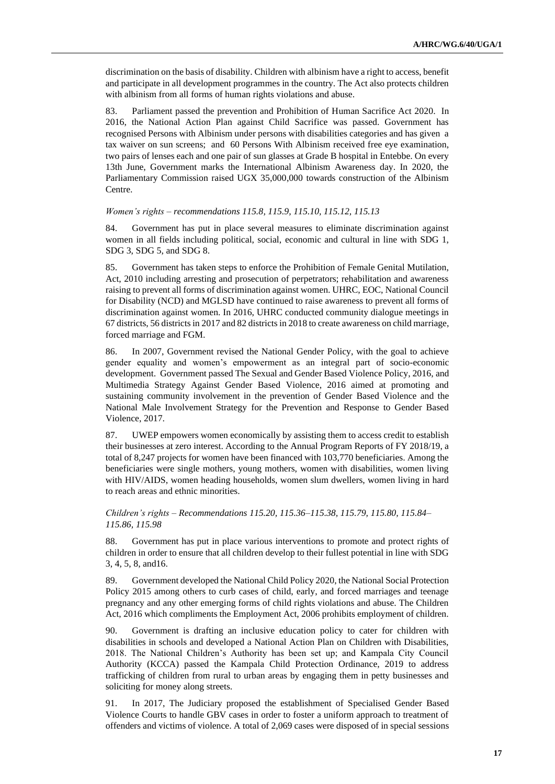discrimination on the basis of disability. Children with albinism have a right to access, benefit and participate in all development programmes in the country. The Act also protects children with albinism from all forms of human rights violations and abuse.

83. Parliament passed the prevention and Prohibition of Human Sacrifice Act 2020. In 2016, the National Action Plan against Child Sacrifice was passed. Government has recognised Persons with Albinism under persons with disabilities categories and has given a tax waiver on sun screens; and 60 Persons With Albinism received free eye examination, two pairs of lenses each and one pair of sun glasses at Grade B hospital in Entebbe. On every 13th June, Government marks the International Albinism Awareness day. In 2020, the Parliamentary Commission raised UGX 35,000,000 towards construction of the Albinism Centre.

*Women's rights – recommendations 115.8, 115.9, 115.10, 115.12, 115.13*

84. Government has put in place several measures to eliminate discrimination against women in all fields including political, social, economic and cultural in line with SDG 1, SDG 3, SDG 5, and SDG 8.

85. Government has taken steps to enforce the Prohibition of Female Genital Mutilation, Act, 2010 including arresting and prosecution of perpetrators; rehabilitation and awareness raising to prevent all forms of discrimination against women. UHRC, EOC, National Council for Disability (NCD) and MGLSD have continued to raise awareness to prevent all forms of discrimination against women. In 2016, UHRC conducted community dialogue meetings in 67 districts, 56 districts in 2017 and 82 districts in 2018 to create awareness on child marriage, forced marriage and FGM.

86. In 2007, Government revised the National Gender Policy, with the goal to achieve gender equality and women's empowerment as an integral part of socio-economic development. Government passed The Sexual and Gender Based Violence Policy, 2016, and Multimedia Strategy Against Gender Based Violence, 2016 aimed at promoting and sustaining community involvement in the prevention of Gender Based Violence and the National Male Involvement Strategy for the Prevention and Response to Gender Based Violence, 2017.

87. UWEP empowers women economically by assisting them to access credit to establish their businesses at zero interest. According to the Annual Program Reports of FY 2018/19, a total of 8,247 projects for women have been financed with 103,770 beneficiaries. Among the beneficiaries were single mothers, young mothers, women with disabilities, women living with HIV/AIDS, women heading households, women slum dwellers, women living in hard to reach areas and ethnic minorities.

*Children's rights – Recommendations 115.20, 115.36–115.38, 115.79, 115.80, 115.84– 115.86, 115.98*

88. Government has put in place various interventions to promote and protect rights of children in order to ensure that all children develop to their fullest potential in line with SDG 3, 4, 5, 8, and16.

89. Government developed the National Child Policy 2020, the National Social Protection Policy 2015 among others to curb cases of child, early, and forced marriages and teenage pregnancy and any other emerging forms of child rights violations and abuse. The Children Act, 2016 which compliments the Employment Act, 2006 prohibits employment of children.

90. Government is drafting an inclusive education policy to cater for children with disabilities in schools and developed a National Action Plan on Children with Disabilities, 2018. The National Children's Authority has been set up; and Kampala City Council Authority (KCCA) passed the Kampala Child Protection Ordinance, 2019 to address trafficking of children from rural to urban areas by engaging them in petty businesses and soliciting for money along streets.

91. In 2017, The Judiciary proposed the establishment of Specialised Gender Based Violence Courts to handle GBV cases in order to foster a uniform approach to treatment of offenders and victims of violence. A total of 2,069 cases were disposed of in special sessions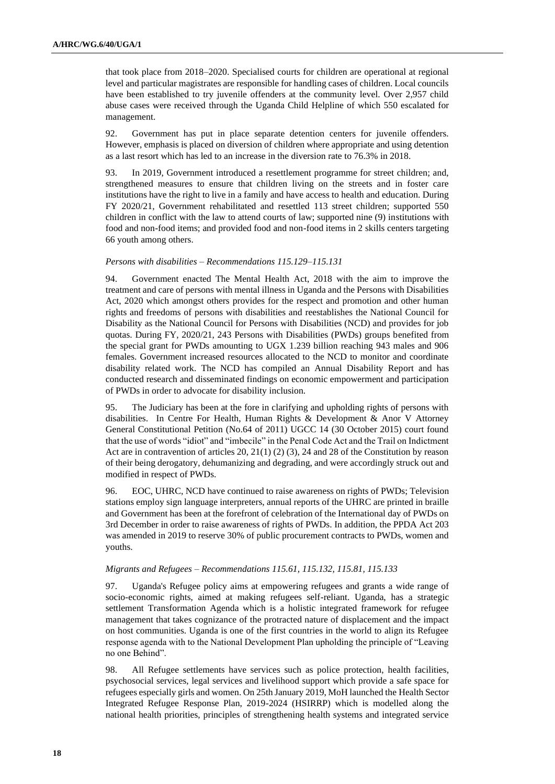that took place from 2018–2020. Specialised courts for children are operational at regional level and particular magistrates are responsible for handling cases of children. Local councils have been established to try juvenile offenders at the community level. Over 2,957 child abuse cases were received through the Uganda Child Helpline of which 550 escalated for management.

92. Government has put in place separate detention centers for juvenile offenders. However, emphasis is placed on diversion of children where appropriate and using detention as a last resort which has led to an increase in the diversion rate to 76.3% in 2018.

93. In 2019, Government introduced a resettlement programme for street children; and, strengthened measures to ensure that children living on the streets and in foster care institutions have the right to live in a family and have access to health and education. During FY 2020/21, Government rehabilitated and resettled 113 street children; supported 550 children in conflict with the law to attend courts of law; supported nine (9) institutions with food and non-food items; and provided food and non-food items in 2 skills centers targeting 66 youth among others.

#### *Persons with disabilities – Recommendations 115.129–115.131*

94. Government enacted The Mental Health Act, 2018 with the aim to improve the treatment and care of persons with mental illness in Uganda and the Persons with Disabilities Act, 2020 which amongst others provides for the respect and promotion and other human rights and freedoms of persons with disabilities and reestablishes the National Council for Disability as the National Council for Persons with Disabilities (NCD) and provides for job quotas. During FY, 2020/21, 243 Persons with Disabilities (PWDs) groups benefited from the special grant for PWDs amounting to UGX 1.239 billion reaching 943 males and 906 females. Government increased resources allocated to the NCD to monitor and coordinate disability related work. The NCD has compiled an Annual Disability Report and has conducted research and disseminated findings on economic empowerment and participation of PWDs in order to advocate for disability inclusion.

95. The Judiciary has been at the fore in clarifying and upholding rights of persons with disabilities. In Centre For Health, Human Rights & Development & Anor V Attorney General Constitutional Petition (No.64 of 2011) UGCC 14 (30 October 2015) court found that the use of words "idiot" and "imbecile" in the Penal Code Act and the Trail on Indictment Act are in contravention of articles 20, 21(1) (2) (3), 24 and 28 of the Constitution by reason of their being derogatory, dehumanizing and degrading, and were accordingly struck out and modified in respect of PWDs.

96. EOC, UHRC, NCD have continued to raise awareness on rights of PWDs; Television stations employ sign language interpreters, annual reports of the UHRC are printed in braille and Government has been at the forefront of celebration of the International day of PWDs on 3rd December in order to raise awareness of rights of PWDs. In addition, the PPDA Act 203 was amended in 2019 to reserve 30% of public procurement contracts to PWDs, women and youths.

#### *Migrants and Refugees – Recommendations 115.61, 115.132, 115.81, 115.133*

97. Uganda's Refugee policy aims at empowering refugees and grants a wide range of socio-economic rights, aimed at making refugees self-reliant. Uganda, has a strategic settlement Transformation Agenda which is a holistic integrated framework for refugee management that takes cognizance of the protracted nature of displacement and the impact on host communities. Uganda is one of the first countries in the world to align its Refugee response agenda with to the National Development Plan upholding the principle of "Leaving no one Behind".

98. All Refugee settlements have services such as police protection, health facilities, psychosocial services, legal services and livelihood support which provide a safe space for refugees especially girls and women. On 25th January 2019, MoH launched the Health Sector Integrated Refugee Response Plan, 2019-2024 (HSIRRP) which is modelled along the national health priorities, principles of strengthening health systems and integrated service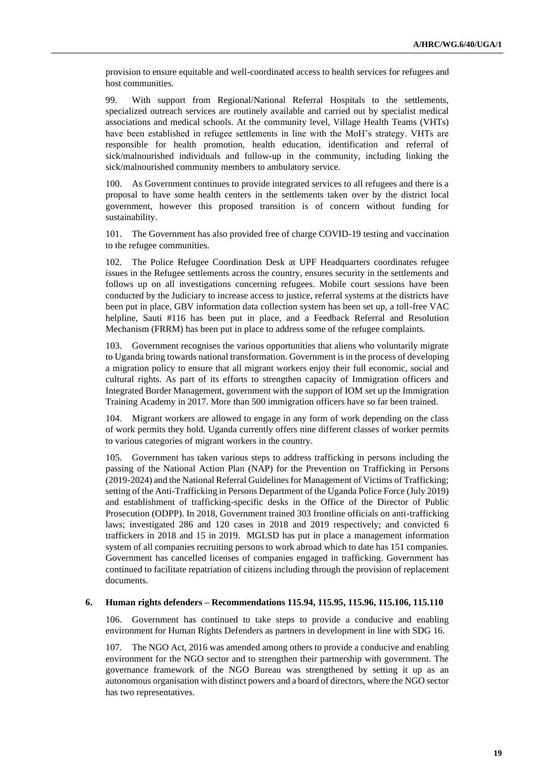provision to ensure equitable and well-coordinated access to health services for refugees and host communities.

99. With support from Regional/National Referral Hospitals to the settlements, specialized outreach services are routinely available and carried out by specialist medical associations and medical schools. At the community level, Village Health Teams (VHTs) have been established in refugee settlements in line with the MoH's strategy. VHTs are responsible for health promotion, health education, identification and referral of sick/malnourished individuals and follow-up in the community, including linking the sick/malnourished community members to ambulatory service.

100. As Government continues to provide integrated services to all refugees and there is a proposal to have some health centers in the settlements taken over by the district local government, however this proposed transition is of concern without funding for sustainability.

101. The Government has also provided free of charge COVID-19 testing and vaccination to the refugee communities.

102. The Police Refugee Coordination Desk at UPF Headquarters coordinates refugee issues in the Refugee settlements across the country, ensures security in the settlements and follows up on all investigations concerning refugees. Mobile court sessions have been conducted by the Judiciary to increase access to justice, referral systems at the districts have been put in place, GBV information data collection system has been set up, a toll-free VAC helpline, Sauti #116 has been put in place, and a Feedback Referral and Resolution Mechanism (FRRM) has been put in place to address some of the refugee complaints.

103. Government recognises the various opportunities that aliens who voluntarily migrate to Uganda bring towards national transformation. Government is in the process of developing a migration policy to ensure that all migrant workers enjoy their full economic, social and cultural rights. As part of its efforts to strengthen capacity of Immigration officers and Integrated Border Management, government with the support of IOM set up the Immigration Training Academy in 2017. More than 500 immigration officers have so far been trained.

104. Migrant workers are allowed to engage in any form of work depending on the class of work permits they hold. Uganda currently offers nine different classes of worker permits to various categories of migrant workers in the country.

105. Government has taken various steps to address trafficking in persons including the passing of the National Action Plan (NAP) for the Prevention on Trafficking in Persons (2019-2024) and the National Referral Guidelines for Management of Victims of Trafficking; setting of the Anti-Trafficking in Persons Department of the Uganda Police Force (July 2019) and establishment of trafficking-specific desks in the Office of the Director of Public Prosecution (ODPP). In 2018, Government trained 303 frontline officials on anti-trafficking laws; investigated 286 and 120 cases in 2018 and 2019 respectively; and convicted 6 traffickers in 2018 and 15 in 2019. MGLSD has put in place a management information system of all companies recruiting persons to work abroad which to date has 151 companies. Government has cancelled licenses of companies engaged in trafficking. Government has continued to facilitate repatriation of citizens including through the provision of replacement documents.

#### **6. Human rights defenders – Recommendations 115.94, 115.95, 115.96, 115.106, 115.110**

106. Government has continued to take steps to provide a conducive and enabling environment for Human Rights Defenders as partners in development in line with SDG 16.

107. The NGO Act, 2016 was amended among others to provide a conducive and enabling environment for the NGO sector and to strengthen their partnership with government. The governance framework of the NGO Bureau was strengthened by setting it up as an autonomous organisation with distinct powers and a board of directors, where the NGO sector has two representatives.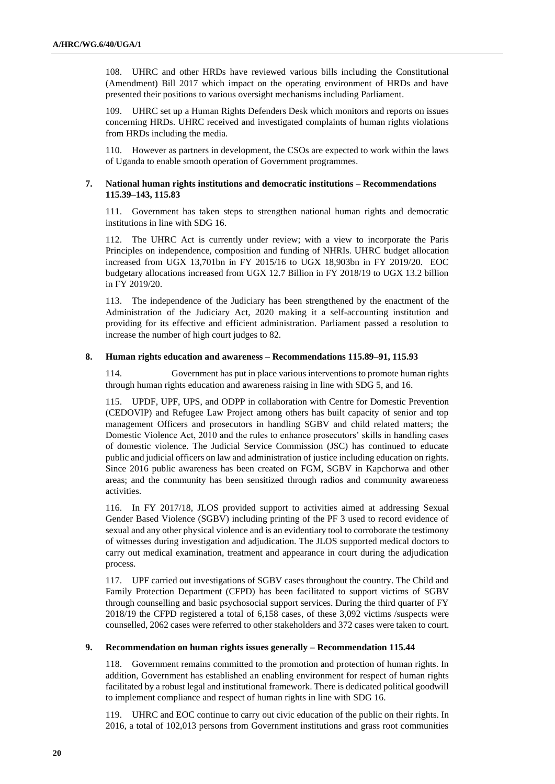108. UHRC and other HRDs have reviewed various bills including the Constitutional (Amendment) Bill 2017 which impact on the operating environment of HRDs and have presented their positions to various oversight mechanisms including Parliament.

109. UHRC set up a Human Rights Defenders Desk which monitors and reports on issues concerning HRDs. UHRC received and investigated complaints of human rights violations from HRDs including the media.

110. However as partners in development, the CSOs are expected to work within the laws of Uganda to enable smooth operation of Government programmes.

#### **7. National human rights institutions and democratic institutions – Recommendations 115.39–143, 115.83**

111. Government has taken steps to strengthen national human rights and democratic institutions in line with SDG 16.

112. The UHRC Act is currently under review; with a view to incorporate the Paris Principles on independence, composition and funding of NHRIs. UHRC budget allocation increased from UGX 13,701bn in FY 2015/16 to UGX 18,903bn in FY 2019/20. EOC budgetary allocations increased from UGX 12.7 Billion in FY 2018/19 to UGX 13.2 billion in FY 2019/20.

113. The independence of the Judiciary has been strengthened by the enactment of the Administration of the Judiciary Act, 2020 making it a self-accounting institution and providing for its effective and efficient administration. Parliament passed a resolution to increase the number of high court judges to 82.

#### **8. Human rights education and awareness – Recommendations 115.89–91, 115.93**

114. Government has put in place various interventions to promote human rights through human rights education and awareness raising in line with SDG 5, and 16.

115. UPDF, UPF, UPS, and ODPP in collaboration with Centre for Domestic Prevention (CEDOVIP) and Refugee Law Project among others has built capacity of senior and top management Officers and prosecutors in handling SGBV and child related matters; the Domestic Violence Act, 2010 and the rules to enhance prosecutors' skills in handling cases of domestic violence. The Judicial Service Commission (JSC) has continued to educate public and judicial officers on law and administration of justice including education on rights. Since 2016 public awareness has been created on FGM, SGBV in Kapchorwa and other areas; and the community has been sensitized through radios and community awareness activities.

116. In FY 2017/18, JLOS provided support to activities aimed at addressing Sexual Gender Based Violence (SGBV) including printing of the PF 3 used to record evidence of sexual and any other physical violence and is an evidentiary tool to corroborate the testimony of witnesses during investigation and adjudication. The JLOS supported medical doctors to carry out medical examination, treatment and appearance in court during the adjudication process.

117. UPF carried out investigations of SGBV cases throughout the country. The Child and Family Protection Department (CFPD) has been facilitated to support victims of SGBV through counselling and basic psychosocial support services. During the third quarter of FY 2018/19 the CFPD registered a total of 6,158 cases, of these 3,092 victims /suspects were counselled, 2062 cases were referred to other stakeholders and 372 cases were taken to court.

#### **9. Recommendation on human rights issues generally – Recommendation 115.44**

118. Government remains committed to the promotion and protection of human rights. In addition, Government has established an enabling environment for respect of human rights facilitated by a robust legal and institutional framework. There is dedicated political goodwill to implement compliance and respect of human rights in line with SDG 16.

119. UHRC and EOC continue to carry out civic education of the public on their rights. In 2016, a total of 102,013 persons from Government institutions and grass root communities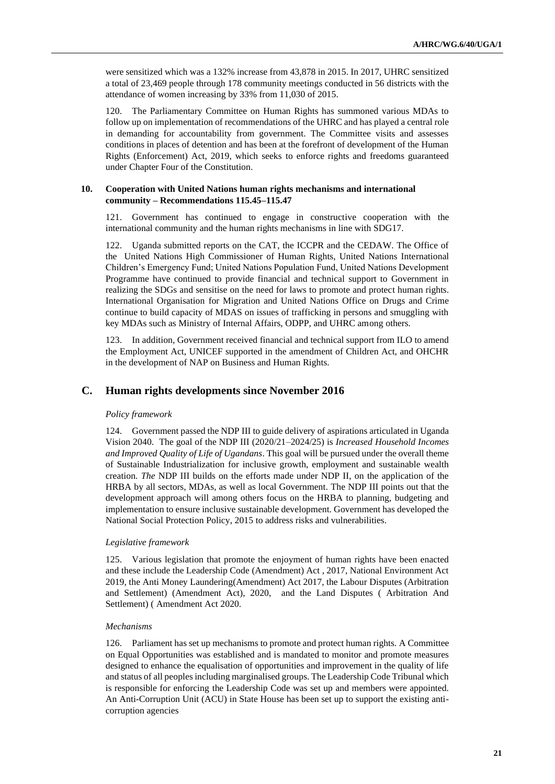were sensitized which was a 132% increase from 43,878 in 2015. In 2017, UHRC sensitized a total of 23,469 people through 178 community meetings conducted in 56 districts with the attendance of women increasing by 33% from 11,030 of 2015.

120. The Parliamentary Committee on Human Rights has summoned various MDAs to follow up on implementation of recommendations of the UHRC and has played a central role in demanding for accountability from government. The Committee visits and assesses conditions in places of detention and has been at the forefront of development of the Human Rights (Enforcement) Act, 2019, which seeks to enforce rights and freedoms guaranteed under Chapter Four of the Constitution.

#### **10. Cooperation with United Nations human rights mechanisms and international community – Recommendations 115.45–115.47**

121. Government has continued to engage in constructive cooperation with the international community and the human rights mechanisms in line with SDG17.

122. Uganda submitted reports on the CAT, the ICCPR and the CEDAW. The Office of the United Nations High Commissioner of Human Rights, United Nations International Children's Emergency Fund; United Nations Population Fund, United Nations Development Programme have continued to provide financial and technical support to Government in realizing the SDGs and sensitise on the need for laws to promote and protect human rights. International Organisation for Migration and United Nations Office on Drugs and Crime continue to build capacity of MDAS on issues of trafficking in persons and smuggling with key MDAs such as Ministry of Internal Affairs, ODPP, and UHRC among others.

123. In addition, Government received financial and technical support from ILO to amend the Employment Act, UNICEF supported in the amendment of Children Act, and OHCHR in the development of NAP on Business and Human Rights.

#### **C. Human rights developments since November 2016**

#### *Policy framework*

124. Government passed the NDP III to guide delivery of aspirations articulated in Uganda Vision 2040. The goal of the NDP III (2020/21–2024/25) is *Increased Household Incomes and Improved Quality of Life of Ugandans*. This goal will be pursued under the overall theme of Sustainable Industrialization for inclusive growth, employment and sustainable wealth creation*. The* NDP III builds on the efforts made under NDP II, on the application of the HRBA by all sectors, MDAs, as well as local Government*.* The NDP III points out that the development approach will among others focus on the HRBA to planning, budgeting and implementation to ensure inclusive sustainable development. Government has developed the National Social Protection Policy, 2015 to address risks and vulnerabilities.

#### *Legislative framework*

125. Various legislation that promote the enjoyment of human rights have been enacted and these include the Leadership Code (Amendment) Act , 2017, National Environment Act 2019, the Anti Money Laundering(Amendment) Act 2017, the Labour Disputes (Arbitration and Settlement) (Amendment Act), 2020, and the Land Disputes ( Arbitration And Settlement) ( Amendment Act 2020.

#### *Mechanisms*

126. Parliament has set up mechanisms to promote and protect human rights. A Committee on Equal Opportunities was established and is mandated to monitor and promote measures designed to enhance the equalisation of opportunities and improvement in the quality of life and status of all peoples including marginalised groups. The Leadership Code Tribunal which is responsible for enforcing the Leadership Code was set up and members were appointed. An Anti-Corruption Unit (ACU) in State House has been set up to support the existing anticorruption agencies